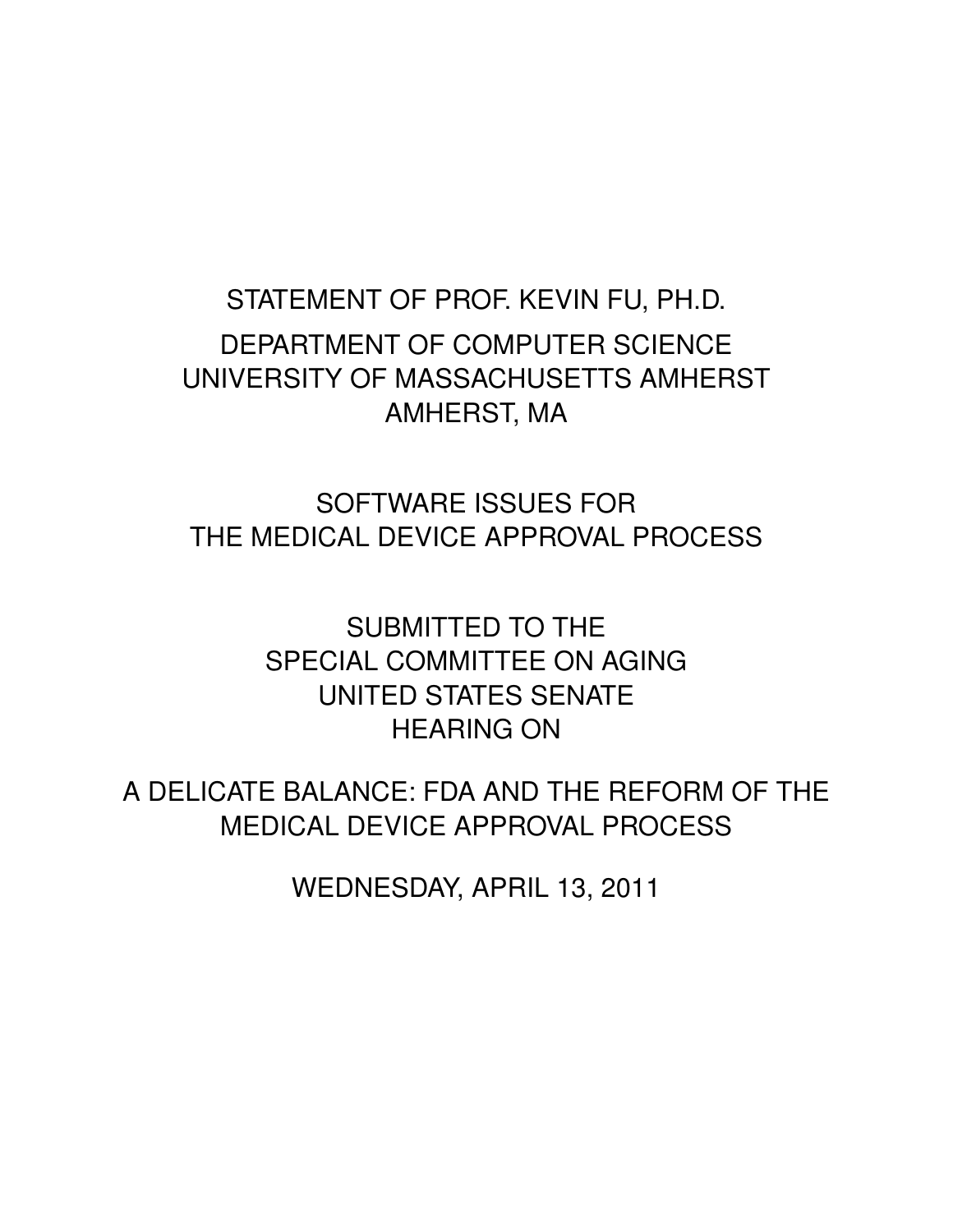# STATEMENT OF PROF. KEVIN FU, PH.D. DEPARTMENT OF COMPUTER SCIENCE UNIVERSITY OF MASSACHUSETTS AMHERST AMHERST, MA

SOFTWARE ISSUES FOR THE MEDICAL DEVICE APPROVAL PROCESS

> SUBMITTED TO THE SPECIAL COMMITTEE ON AGING UNITED STATES SENATE HEARING ON

A DELICATE BALANCE: FDA AND THE REFORM OF THE MEDICAL DEVICE APPROVAL PROCESS

WEDNESDAY, APRIL 13, 2011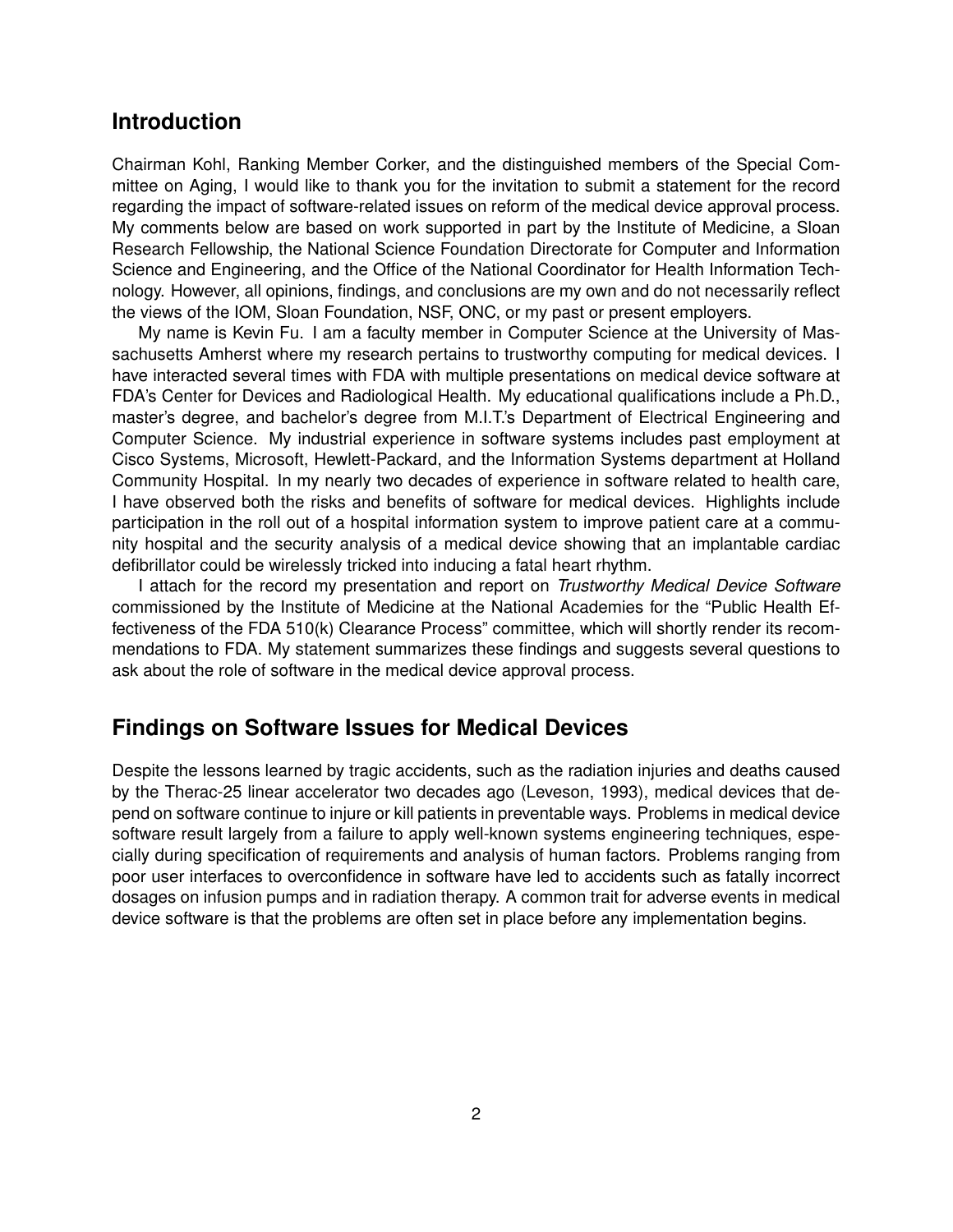### **Introduction**

Chairman Kohl, Ranking Member Corker, and the distinguished members of the Special Committee on Aging, I would like to thank you for the invitation to submit a statement for the record regarding the impact of software-related issues on reform of the medical device approval process. My comments below are based on work supported in part by the Institute of Medicine, a Sloan Research Fellowship, the National Science Foundation Directorate for Computer and Information Science and Engineering, and the Office of the National Coordinator for Health Information Technology. However, all opinions, findings, and conclusions are my own and do not necessarily reflect the views of the IOM, Sloan Foundation, NSF, ONC, or my past or present employers.

My name is Kevin Fu. I am a faculty member in Computer Science at the University of Massachusetts Amherst where my research pertains to trustworthy computing for medical devices. I have interacted several times with FDA with multiple presentations on medical device software at FDA's Center for Devices and Radiological Health. My educational qualifications include a Ph.D., master's degree, and bachelor's degree from M.I.T.'s Department of Electrical Engineering and Computer Science. My industrial experience in software systems includes past employment at Cisco Systems, Microsoft, Hewlett-Packard, and the Information Systems department at Holland Community Hospital. In my nearly two decades of experience in software related to health care, I have observed both the risks and benefits of software for medical devices. Highlights include participation in the roll out of a hospital information system to improve patient care at a community hospital and the security analysis of a medical device showing that an implantable cardiac defibrillator could be wirelessly tricked into inducing a fatal heart rhythm.

I attach for the record my presentation and report on *Trustworthy Medical Device Software* commissioned by the Institute of Medicine at the National Academies for the "Public Health Effectiveness of the FDA 510(k) Clearance Process" committee, which will shortly render its recommendations to FDA. My statement summarizes these findings and suggests several questions to ask about the role of software in the medical device approval process.

#### **Findings on Software Issues for Medical Devices**

Despite the lessons learned by tragic accidents, such as the radiation injuries and deaths caused by the Therac-25 linear accelerator two decades ago (Leveson, 1993), medical devices that depend on software continue to injure or kill patients in preventable ways. Problems in medical device software result largely from a failure to apply well-known systems engineering techniques, especially during specification of requirements and analysis of human factors. Problems ranging from poor user interfaces to overconfidence in software have led to accidents such as fatally incorrect dosages on infusion pumps and in radiation therapy. A common trait for adverse events in medical device software is that the problems are often set in place before any implementation begins.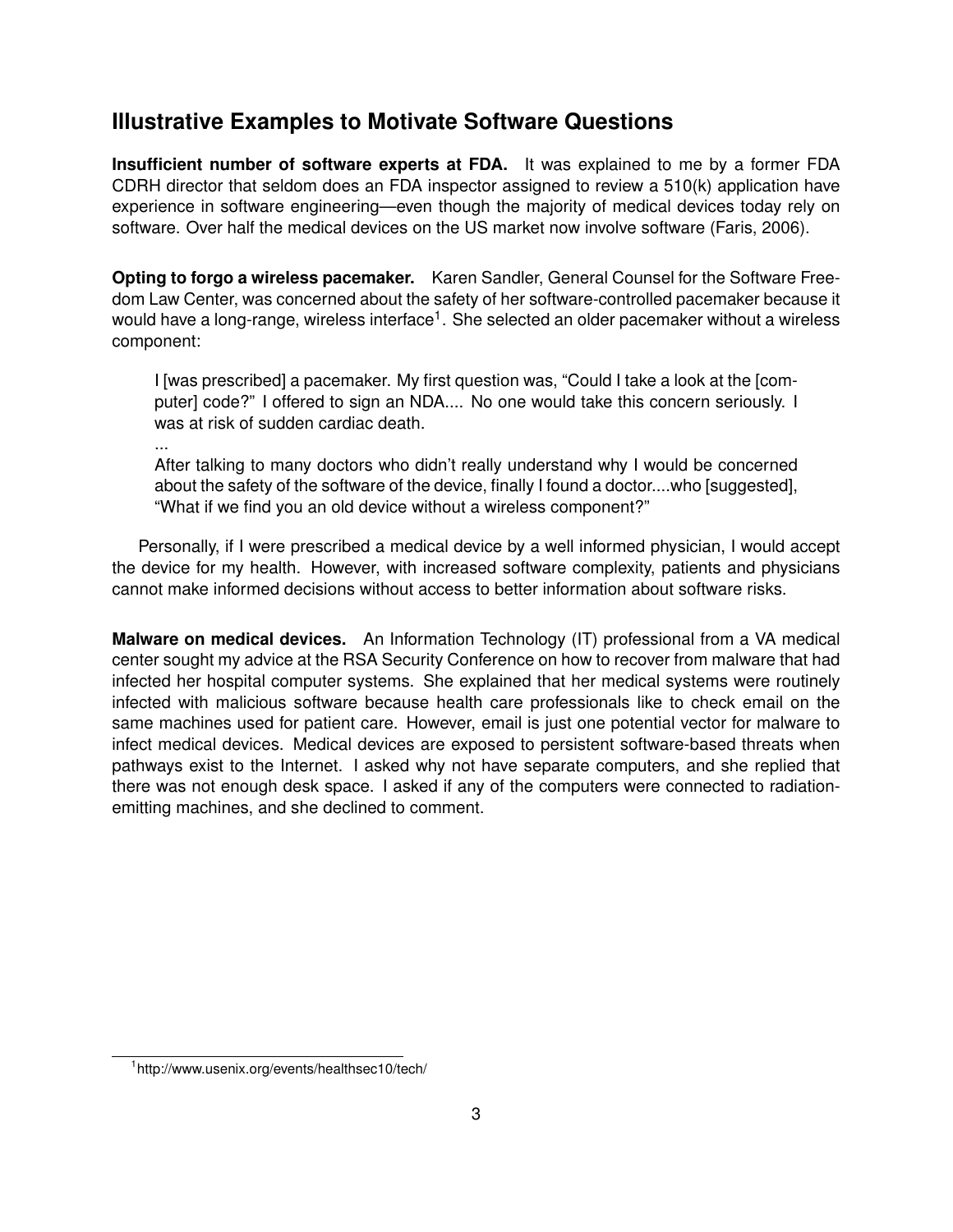## **Illustrative Examples to Motivate Software Questions**

**Insufficient number of software experts at FDA.** It was explained to me by a former FDA CDRH director that seldom does an FDA inspector assigned to review a 510(k) application have experience in software engineering—even though the majority of medical devices today rely on software. Over half the medical devices on the US market now involve software (Faris, 2006).

**Opting to forgo a wireless pacemaker.** Karen Sandler, General Counsel for the Software Freedom Law Center, was concerned about the safety of her software-controlled pacemaker because it would have a long-range, wireless interface $^{\text{1}}.$  She selected an older pacemaker without a wireless component:

I [was prescribed] a pacemaker. My first question was, "Could I take a look at the [computer] code?" I offered to sign an NDA.... No one would take this concern seriously. I was at risk of sudden cardiac death.

... After talking to many doctors who didn't really understand why I would be concerned about the safety of the software of the device, finally I found a doctor....who [suggested], "What if we find you an old device without a wireless component?"

Personally, if I were prescribed a medical device by a well informed physician, I would accept the device for my health. However, with increased software complexity, patients and physicians cannot make informed decisions without access to better information about software risks.

**Malware on medical devices.** An Information Technology (IT) professional from a VA medical center sought my advice at the RSA Security Conference on how to recover from malware that had infected her hospital computer systems. She explained that her medical systems were routinely infected with malicious software because health care professionals like to check email on the same machines used for patient care. However, email is just one potential vector for malware to infect medical devices. Medical devices are exposed to persistent software-based threats when pathways exist to the Internet. I asked why not have separate computers, and she replied that there was not enough desk space. I asked if any of the computers were connected to radiationemitting machines, and she declined to comment.

<sup>1</sup> http://www.usenix.org/events/healthsec10/tech/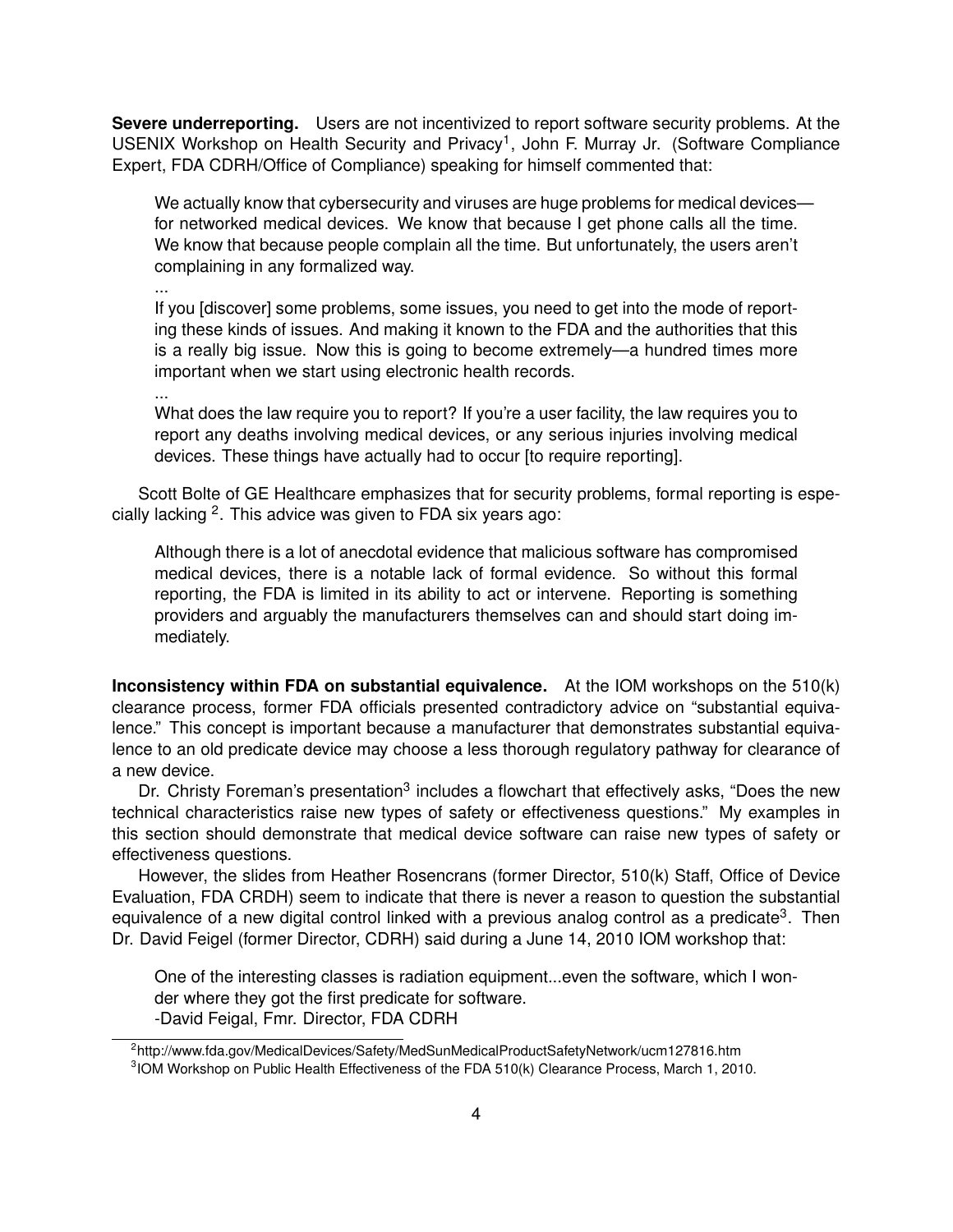**Severe underreporting.** Users are not incentivized to report software security problems. At the USENIX Workshop on Health Security and Privacy<sup>1</sup>, John F. Murray Jr. (Software Compliance Expert, FDA CDRH/Office of Compliance) speaking for himself commented that:

We actually know that cybersecurity and viruses are huge problems for medical devices for networked medical devices. We know that because I get phone calls all the time. We know that because people complain all the time. But unfortunately, the users aren't complaining in any formalized way.

...

If you [discover] some problems, some issues, you need to get into the mode of reporting these kinds of issues. And making it known to the FDA and the authorities that this is a really big issue. Now this is going to become extremely—a hundred times more important when we start using electronic health records.

...

What does the law require you to report? If you're a user facility, the law requires you to report any deaths involving medical devices, or any serious injuries involving medical devices. These things have actually had to occur [to require reporting].

Scott Bolte of GE Healthcare emphasizes that for security problems, formal reporting is especially lacking <sup>2</sup>. This advice was given to FDA six years ago:

Although there is a lot of anecdotal evidence that malicious software has compromised medical devices, there is a notable lack of formal evidence. So without this formal reporting, the FDA is limited in its ability to act or intervene. Reporting is something providers and arguably the manufacturers themselves can and should start doing immediately.

**Inconsistency within FDA on substantial equivalence.** At the IOM workshops on the 510(k) clearance process, former FDA officials presented contradictory advice on "substantial equivalence." This concept is important because a manufacturer that demonstrates substantial equivalence to an old predicate device may choose a less thorough regulatory pathway for clearance of a new device.

Dr. Christy Foreman's presentation<sup>3</sup> includes a flowchart that effectively asks, "Does the new technical characteristics raise new types of safety or effectiveness questions." My examples in this section should demonstrate that medical device software can raise new types of safety or effectiveness questions.

However, the slides from Heather Rosencrans (former Director, 510(k) Staff, Office of Device Evaluation, FDA CRDH) seem to indicate that there is never a reason to question the substantial equivalence of a new digital control linked with a previous analog control as a predicate<sup>3</sup>. Then Dr. David Feigel (former Director, CDRH) said during a June 14, 2010 IOM workshop that:

One of the interesting classes is radiation equipment...even the software, which I wonder where they got the first predicate for software. -David Feigal, Fmr. Director, FDA CDRH

<sup>2</sup> http://www.fda.gov/MedicalDevices/Safety/MedSunMedicalProductSafetyNetwork/ucm127816.htm

<sup>&</sup>lt;sup>3</sup>IOM Workshop on Public Health Effectiveness of the FDA 510(k) Clearance Process, March 1, 2010.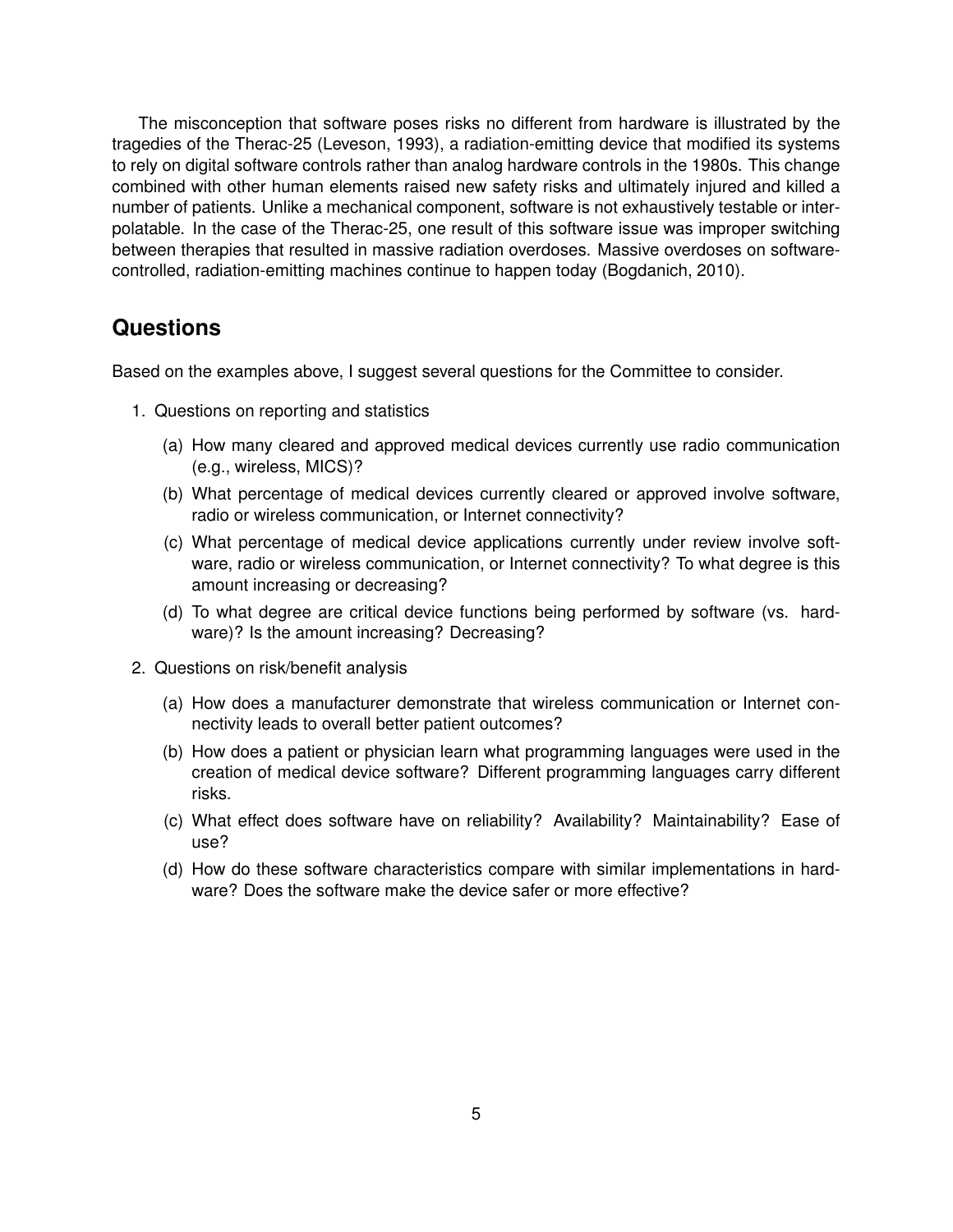The misconception that software poses risks no different from hardware is illustrated by the tragedies of the Therac-25 (Leveson, 1993), a radiation-emitting device that modified its systems to rely on digital software controls rather than analog hardware controls in the 1980s. This change combined with other human elements raised new safety risks and ultimately injured and killed a number of patients. Unlike a mechanical component, software is not exhaustively testable or interpolatable. In the case of the Therac-25, one result of this software issue was improper switching between therapies that resulted in massive radiation overdoses. Massive overdoses on softwarecontrolled, radiation-emitting machines continue to happen today (Bogdanich, 2010).

#### **Questions**

Based on the examples above, I suggest several questions for the Committee to consider.

- 1. Questions on reporting and statistics
	- (a) How many cleared and approved medical devices currently use radio communication (e.g., wireless, MICS)?
	- (b) What percentage of medical devices currently cleared or approved involve software, radio or wireless communication, or Internet connectivity?
	- (c) What percentage of medical device applications currently under review involve software, radio or wireless communication, or Internet connectivity? To what degree is this amount increasing or decreasing?
	- (d) To what degree are critical device functions being performed by software (vs. hardware)? Is the amount increasing? Decreasing?
- 2. Questions on risk/benefit analysis
	- (a) How does a manufacturer demonstrate that wireless communication or Internet connectivity leads to overall better patient outcomes?
	- (b) How does a patient or physician learn what programming languages were used in the creation of medical device software? Different programming languages carry different risks.
	- (c) What effect does software have on reliability? Availability? Maintainability? Ease of use?
	- (d) How do these software characteristics compare with similar implementations in hardware? Does the software make the device safer or more effective?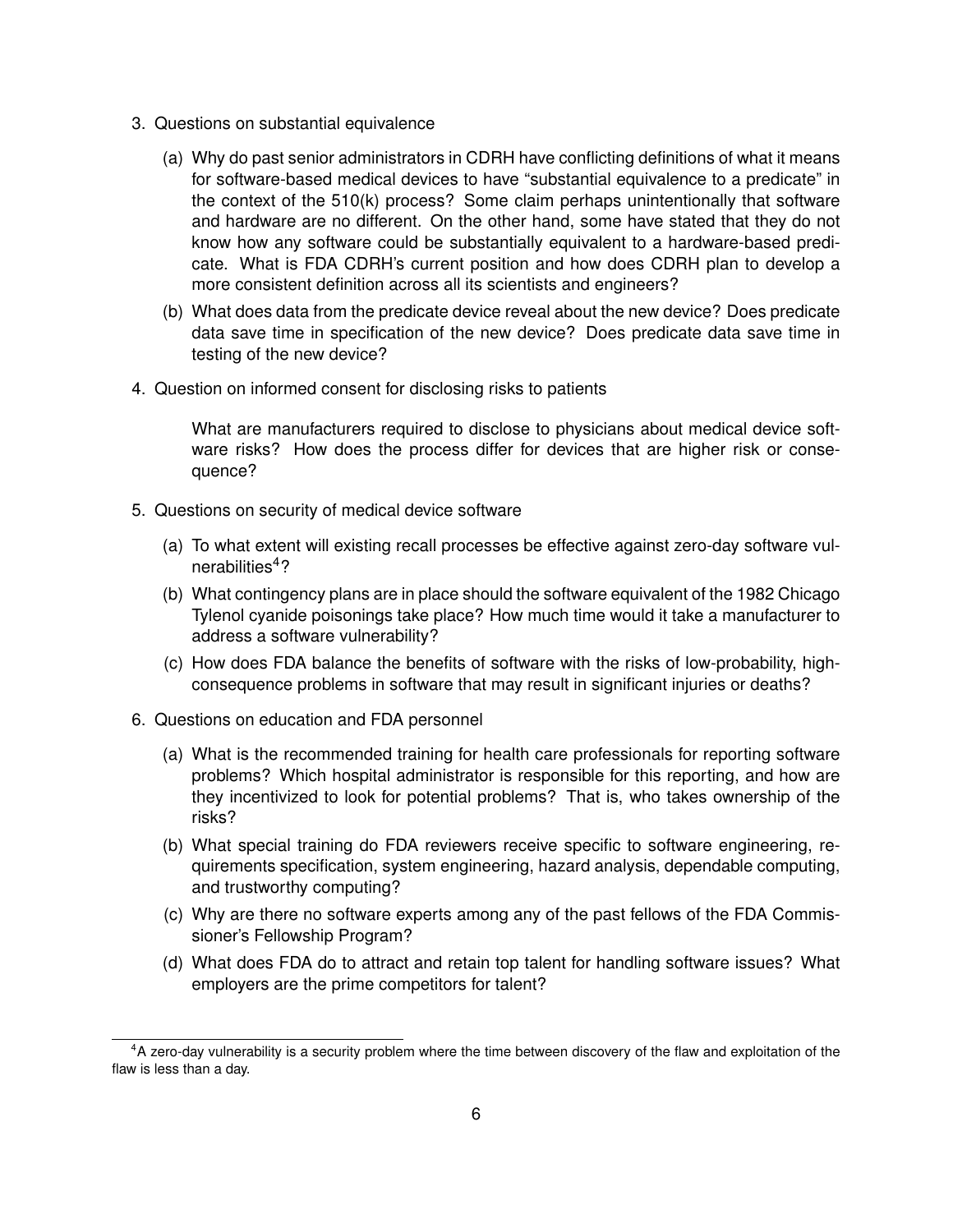- 3. Questions on substantial equivalence
	- (a) Why do past senior administrators in CDRH have conflicting definitions of what it means for software-based medical devices to have "substantial equivalence to a predicate" in the context of the 510(k) process? Some claim perhaps unintentionally that software and hardware are no different. On the other hand, some have stated that they do not know how any software could be substantially equivalent to a hardware-based predicate. What is FDA CDRH's current position and how does CDRH plan to develop a more consistent definition across all its scientists and engineers?
	- (b) What does data from the predicate device reveal about the new device? Does predicate data save time in specification of the new device? Does predicate data save time in testing of the new device?
- 4. Question on informed consent for disclosing risks to patients

What are manufacturers required to disclose to physicians about medical device software risks? How does the process differ for devices that are higher risk or consequence?

- 5. Questions on security of medical device software
	- (a) To what extent will existing recall processes be effective against zero-day software vulnerabilities $4$ ?
	- (b) What contingency plans are in place should the software equivalent of the 1982 Chicago Tylenol cyanide poisonings take place? How much time would it take a manufacturer to address a software vulnerability?
	- (c) How does FDA balance the benefits of software with the risks of low-probability, highconsequence problems in software that may result in significant injuries or deaths?
- 6. Questions on education and FDA personnel
	- (a) What is the recommended training for health care professionals for reporting software problems? Which hospital administrator is responsible for this reporting, and how are they incentivized to look for potential problems? That is, who takes ownership of the risks?
	- (b) What special training do FDA reviewers receive specific to software engineering, requirements specification, system engineering, hazard analysis, dependable computing, and trustworthy computing?
	- (c) Why are there no software experts among any of the past fellows of the FDA Commissioner's Fellowship Program?
	- (d) What does FDA do to attract and retain top talent for handling software issues? What employers are the prime competitors for talent?

<sup>&</sup>lt;sup>4</sup>A zero-day vulnerability is a security problem where the time between discovery of the flaw and exploitation of the flaw is less than a day.